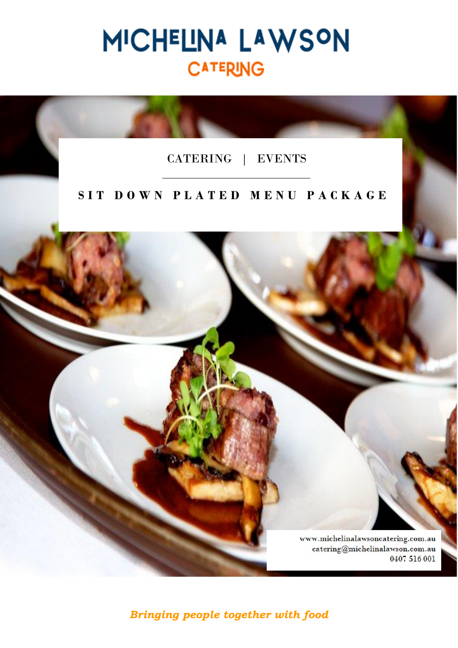# MICHELINA LAWSON **CATERING**

## CATERING | EVENTS

## **S I T D O W N P L A T E D M E N U P A C K A G E**



### *Bringing people together with food*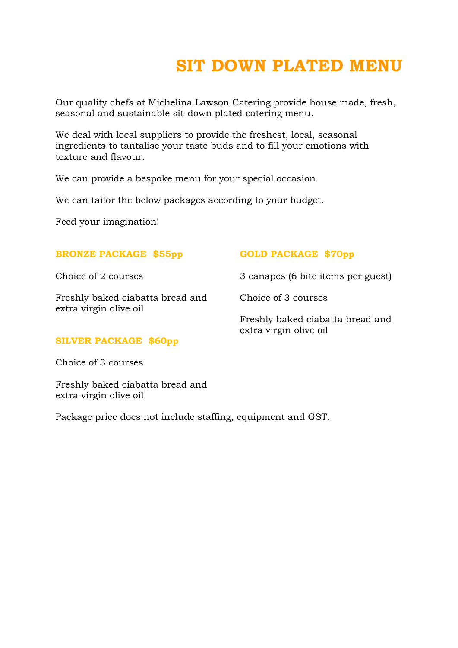# **SIT DOWN PLATED MENU**

Our quality chefs at Michelina Lawson Catering provide house made, fresh, seasonal and sustainable sit-down plated catering menu.

We deal with local suppliers to provide the freshest, local, seasonal ingredients to tantalise your taste buds and to fill your emotions with texture and flavour.

We can provide a bespoke menu for your special occasion.

We can tailor the below packages according to your budget.

Feed your imagination!

| <b>BRONZE PACKAGE \$55pp</b>                               | <b>GOLD PACKAGE \$70pp</b>                                 |
|------------------------------------------------------------|------------------------------------------------------------|
| Choice of 2 courses                                        | 3 canapes (6 bite items per guest)                         |
| Freshly baked ciabatta bread and<br>extra virgin olive oil | Choice of 3 courses                                        |
|                                                            | Freshly baked ciabatta bread and<br>extra virgin olive oil |
| <b>SILVER PACKAGE \$60pp</b>                               |                                                            |

Choice of 3 courses

Freshly baked ciabatta bread and extra virgin olive oil

Package price does not include staffing, equipment and GST.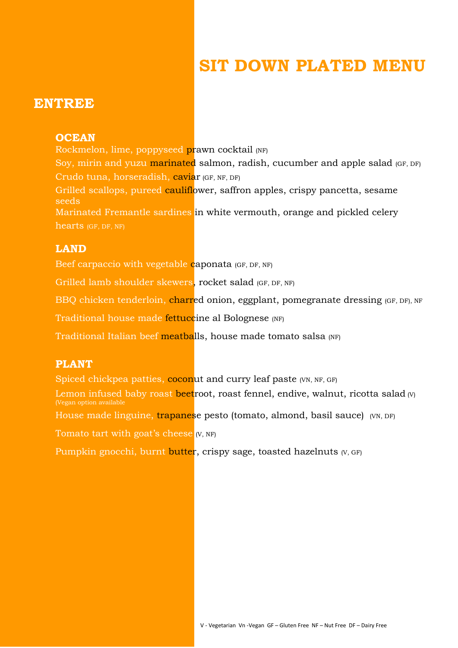# **SIT DOWN PLATED MENU**

## **ENTREE**

#### **OCEAN**

Rockmelon, lime, poppyseed prawn cocktail (NF) Soy, mirin and yuzu marinated salmon, radish, cucumber and apple salad (GF, DF) Crudo tuna, horseradish, caviar (GF, NF, DF) Grilled scallops, pureed cauliflower, saffron apples, crispy pancetta, sesame seeds Marinated Fremantle sardines in white vermouth, orange and pickled celery hearts (GF, DF, NF)

#### **LAND**

Beef carpaccio with vegetable caponata (GF, DF, NF)

Grilled lamb shoulder skewers, rocket salad (GF, DF, NF)

BBQ chicken tenderloin, charred onion, eggplant, pomegranate dressing (GF, DF), NF

Traditional house made fettuccine al Bolognese (NF)

Traditional Italian beef meatballs, house made tomato salsa (NF)

#### **PLANT**

Spiced chickpea patties, coconut and curry leaf paste (VN, NF, GF)

Lemon infused baby roast beetroot, roast fennel, endive, walnut, ricotta salad  $w_1$ (Vegan option available

House made linguine, trapanese pesto (tomato, almond, basil sauce) (VN, DF)

Tomato tart with goat's cheese **V**, NF

Pumpkin gnocchi, burnt butter, crispy sage, toasted hazelnuts (V, GF)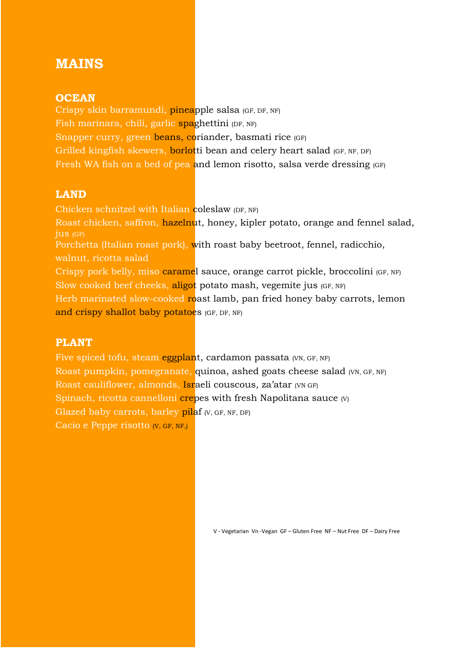## **MAINS**

#### **OCEAN**

Crispy skin barramundi, pineapple salsa (GF, DF, NF) Fish marinara, chili, garlic spaghettini (DF, NF) Snapper curry, green beans, coriander, basmati rice (GF) Grilled kingfish skewers, borlotti bean and celery heart salad (GF, NF, DF) Fresh WA fish on a bed of pea and lemon risotto, salsa verde dressing (GF)

#### **LAND**

Chicken schnitzel with Italian coleslaw (DF, NF) Roast chicken, saffron, hazelnut, honey, kipler potato, orange and fennel salad, jus (GF) Porchetta (Italian roast pork), with roast baby beetroot, fennel, radicchio, walnut, ricotta salad Crispy pork belly, miso caramel sauce, orange carrot pickle, broccolini (GF, NF) Slow cooked beef cheeks, aligot potato mash, vegemite jus (GF, NF) Herb marinated slow-cooked roast lamb, pan fried honey baby carrots, lemon and crispy shallot baby potatoes (GF, DF, NF)

#### **PLANT**

Five spiced tofu, steam eggplant, cardamon passata (VN, GF, NF) Roast pumpkin, pomegranate, quinoa, ashed goats cheese salad (VN, GF, NF) Roast cauliflower, almonds, Israeli couscous, za'atar (VN GF) Spinach, ricotta cannelloni crepes with fresh Napolitana sauce (V) Glazed baby carrots, barley pilaf (V, GF, NF, DF) Cacio e Peppe risotto (V, GF, NF,)

V - Vegetarian Vn -Vegan GF – Gluten Free NF – Nut Free DF – Dairy Free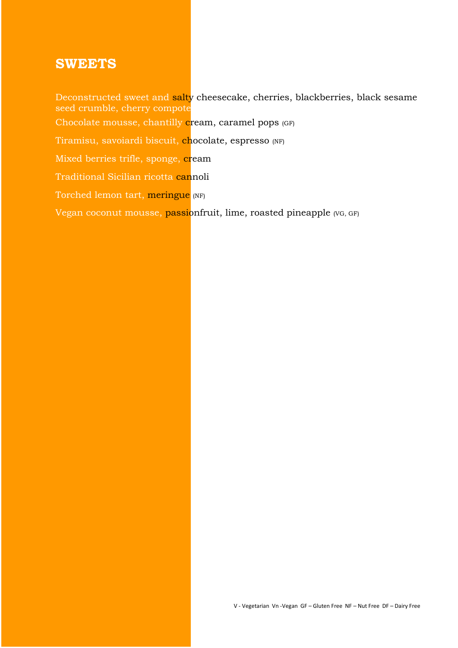## **SWEETS**

Deconstructed sweet and salty cheesecake, cherries, blackberries, black sesame seed crumble, cherry compote Chocolate mousse, chantilly cream, caramel pops (GF) Tiramisu, savoiardi biscuit, chocolate, espresso (NF) Mixed berries trifle, sponge, cream Traditional Sicilian ricotta cannoli Torched lemon tart, meringue (NF) Vegan coconut mousse, passionfruit, lime, roasted pineapple (VG, GF)